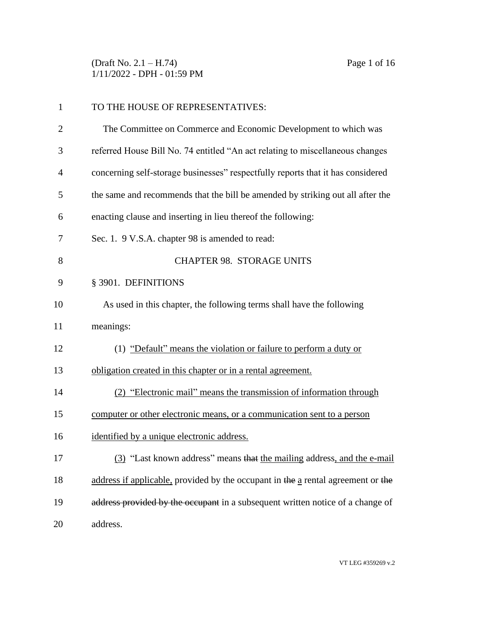(Draft No. 2.1 – H.74) Page 1 of 16 1/11/2022 - DPH - 01:59 PM

| $\mathbf{1}$   | TO THE HOUSE OF REPRESENTATIVES:                                                 |
|----------------|----------------------------------------------------------------------------------|
| $\overline{2}$ | The Committee on Commerce and Economic Development to which was                  |
| 3              | referred House Bill No. 74 entitled "An act relating to miscellaneous changes    |
| $\overline{4}$ | concerning self-storage businesses" respectfully reports that it has considered  |
| 5              | the same and recommends that the bill be amended by striking out all after the   |
| 6              | enacting clause and inserting in lieu thereof the following:                     |
| 7              | Sec. 1. 9 V.S.A. chapter 98 is amended to read:                                  |
| 8              | <b>CHAPTER 98. STORAGE UNITS</b>                                                 |
| 9              | § 3901. DEFINITIONS                                                              |
| 10             | As used in this chapter, the following terms shall have the following            |
| 11             | meanings:                                                                        |
| 12             | (1) "Default" means the violation or failure to perform a duty or                |
| 13             | obligation created in this chapter or in a rental agreement.                     |
| 14             | (2) "Electronic mail" means the transmission of information through              |
| 15             | computer or other electronic means, or a communication sent to a person          |
| 16             | identified by a unique electronic address.                                       |
| 17             | (3) "Last known address" means that the mailing address, and the e-mail          |
| 18             | address if applicable, provided by the occupant in the a rental agreement or the |
| 19             | address provided by the occupant in a subsequent written notice of a change of   |
| 20             | address.                                                                         |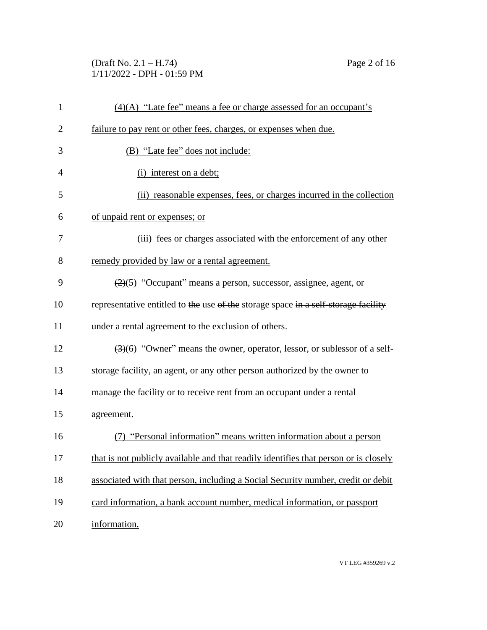(Draft No. 2.1 – H.74) Page 2 of 16 1/11/2022 - DPH - 01:59 PM

| $\mathbf{1}$   | $(4)(A)$ "Late fee" means a fee or charge assessed for an occupant's                          |
|----------------|-----------------------------------------------------------------------------------------------|
| $\overline{2}$ | failure to pay rent or other fees, charges, or expenses when due.                             |
| 3              | (B) "Late fee" does not include:                                                              |
| 4              | (i) interest on a debt;                                                                       |
| 5              | (ii) reasonable expenses, fees, or charges incurred in the collection                         |
| 6              | of unpaid rent or expenses; or                                                                |
| 7              | (iii) fees or charges associated with the enforcement of any other                            |
| 8              | remedy provided by law or a rental agreement.                                                 |
| 9              | $\left(\frac{2}{2}\right)$ "Occupant" means a person, successor, assignee, agent, or          |
| 10             | representative entitled to the use of the storage space in a self-storage facility            |
| 11             | under a rental agreement to the exclusion of others.                                          |
| 12             | $\left(\frac{3}{6}\right)$ "Owner" means the owner, operator, lessor, or sublessor of a self- |
| 13             | storage facility, an agent, or any other person authorized by the owner to                    |
| 14             | manage the facility or to receive rent from an occupant under a rental                        |
| 15             | agreement.                                                                                    |
| 16             | (7) "Personal information" means written information about a person                           |
| 17             | that is not publicly available and that readily identifies that person or is closely          |
| 18             | associated with that person, including a Social Security number, credit or debit              |
| 19             | card information, a bank account number, medical information, or passport                     |
| 20             | information.                                                                                  |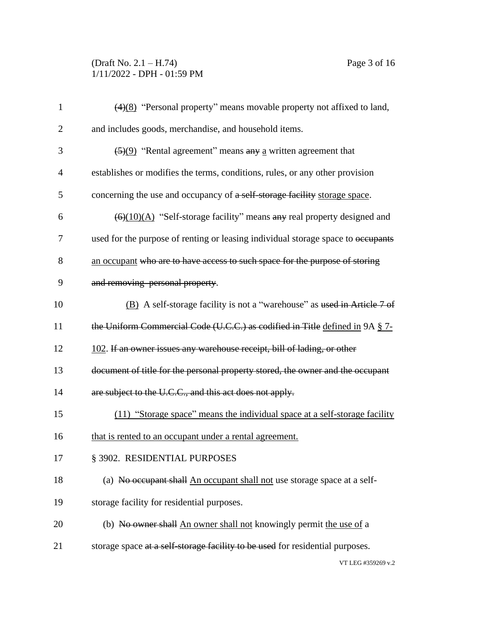# (Draft No. 2.1 – H.74) Page 3 of 16 1/11/2022 - DPH - 01:59 PM

| $\mathbf{1}$   | $\left(\frac{4}{8}\right)$ "Personal property" means movable property not affixed to land,    |
|----------------|-----------------------------------------------------------------------------------------------|
| $\overline{2}$ | and includes goods, merchandise, and household items.                                         |
| 3              | $\left(\frac{5}{9}\right)$ "Rental agreement" means any a written agreement that              |
| $\overline{4}$ | establishes or modifies the terms, conditions, rules, or any other provision                  |
| 5              | concerning the use and occupancy of a self-storage facility storage space.                    |
| 6              | $\left(\frac{6}{(10)(A)}\right)$ "Self-storage facility" means any real property designed and |
| 7              | used for the purpose of renting or leasing individual storage space to occupants              |
| 8              | an occupant who are to have access to such space for the purpose of storing                   |
| 9              | and removing personal property.                                                               |
| 10             | (B) A self-storage facility is not a "warehouse" as used in Article 7 of                      |
| 11             | the Uniform Commercial Code (U.C.C.) as codified in Title defined in 9A § 7-                  |
| 12             | 102. If an owner issues any warehouse receipt, bill of lading, or other                       |
| 13             | document of title for the personal property stored, the owner and the occupant                |
| 14             | are subject to the U.C.C., and this act does not apply.                                       |
| 15             | (11) "Storage space" means the individual space at a self-storage facility                    |
| 16             | that is rented to an occupant under a rental agreement.                                       |
| 17             | § 3902. RESIDENTIAL PURPOSES                                                                  |
| 18             | (a) No occupant shall An occupant shall not use storage space at a self-                      |
| 19             | storage facility for residential purposes.                                                    |
| 20             | (b) No owner shall An owner shall not knowingly permit the use of a                           |
| 21             | storage space at a self-storage facility to be used for residential purposes.                 |
|                | VT LEG #359269 v.2                                                                            |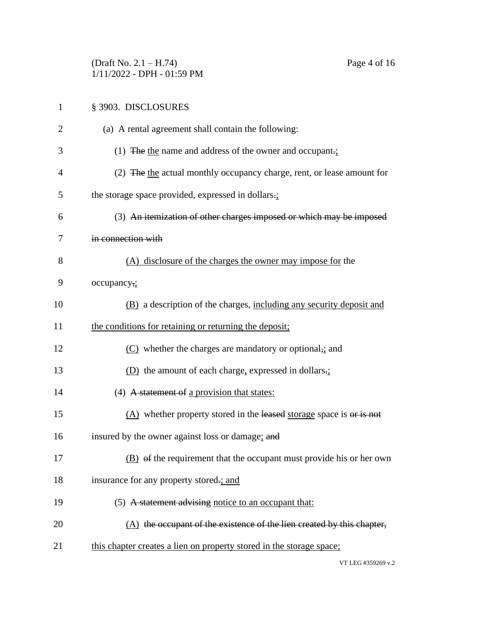(Draft No. 2.1 – H.74) Page 4 of 16 1/11/2022 - DPH - 01:59 PM

| 1              | § 3903. DISCLOSURES                                                      |
|----------------|--------------------------------------------------------------------------|
| $\overline{2}$ | (a) A rental agreement shall contain the following:                      |
| 3              | (1) The the name and address of the owner and occupant.                  |
| 4              | (2) The the actual monthly occupancy charge, rent, or lease amount for   |
| 5              | the storage space provided, expressed in dollars.                        |
| 6              | (3) An itemization of other charges imposed or which may be imposed      |
| 7              | in connection with                                                       |
| 8              | (A) disclosure of the charges the owner may impose for the               |
| 9              | occupancy,;                                                              |
| 10             | (B) a description of the charges, including any security deposit and     |
| 11             | the conditions for retaining or returning the deposit;                   |
| 12             | $(C)$ whether the charges are mandatory or optional, and                 |
| 13             | $(D)$ the amount of each charge, expressed in dollars.                   |
| 14             | (4) A statement of a provision that states:                              |
| 15             | $(A)$ whether property stored in the leased storage space is or is not   |
| 16             | insured by the owner against loss or damage; and                         |
| 17             | (B) of the requirement that the occupant must provide his or her own     |
| 18             | insurance for any property stored-; and                                  |
| 19             | (5) A statement advising notice to an occupant that:                     |
| 20             | $(A)$ the occupant of the existence of the lien created by this chapter, |
| 21             | this chapter creates a lien on property stored in the storage space;     |
|                |                                                                          |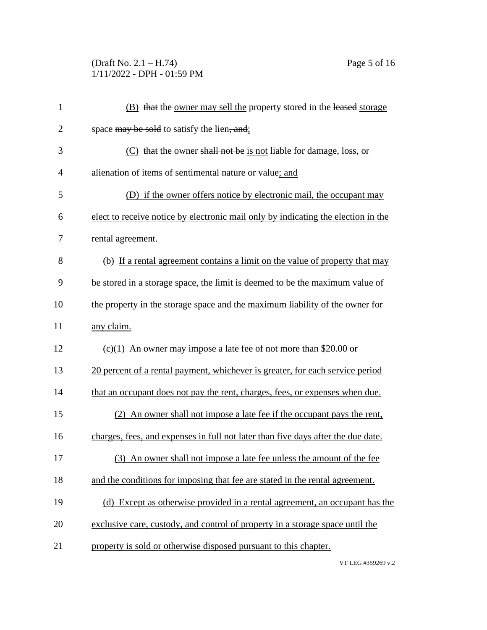## (Draft No. 2.1 – H.74) Page 5 of 16 1/11/2022 - DPH - 01:59 PM

| $\mathbf{1}$   | (B) that the owner may sell the property stored in the leased storage             |
|----------------|-----------------------------------------------------------------------------------|
| $\overline{2}$ | space may be sold to satisfy the lien, and:                                       |
| 3              | (C) that the owner shall not be is not liable for damage, loss, or                |
| $\overline{4}$ | alienation of items of sentimental nature or value; and                           |
| 5              | (D) if the owner offers notice by electronic mail, the occupant may               |
| 6              | elect to receive notice by electronic mail only by indicating the election in the |
| 7              | rental agreement.                                                                 |
| 8              | (b) If a rental agreement contains a limit on the value of property that may      |
| 9              | be stored in a storage space, the limit is deemed to be the maximum value of      |
| 10             | the property in the storage space and the maximum liability of the owner for      |
| 11             | any claim.                                                                        |
| 12             | $(c)(1)$ An owner may impose a late fee of not more than \$20.00 or               |
| 13             | 20 percent of a rental payment, whichever is greater, for each service period     |
| 14             | that an occupant does not pay the rent, charges, fees, or expenses when due.      |
| 15             | (2) An owner shall not impose a late fee if the occupant pays the rent,           |
| 16             | charges, fees, and expenses in full not later than five days after the due date.  |
| 17             | (3) An owner shall not impose a late fee unless the amount of the fee             |
| 18             | and the conditions for imposing that fee are stated in the rental agreement.      |
| 19             | (d) Except as otherwise provided in a rental agreement, an occupant has the       |
| 20             | exclusive care, custody, and control of property in a storage space until the     |
| 21             | property is sold or otherwise disposed pursuant to this chapter.                  |
|                |                                                                                   |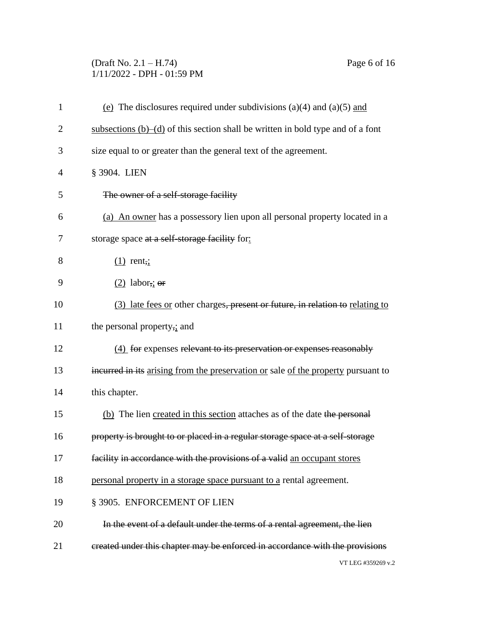# (Draft No. 2.1 – H.74) Page 6 of 16 1/11/2022 - DPH - 01:59 PM

| $\mathbf{1}$   | (e) The disclosures required under subdivisions (a)(4) and (a)(5) and              |
|----------------|------------------------------------------------------------------------------------|
| $\overline{2}$ | subsections $(b)$ –(d) of this section shall be written in bold type and of a font |
| 3              | size equal to or greater than the general text of the agreement.                   |
| 4              | § 3904. LIEN                                                                       |
| 5              | The owner of a self-storage facility                                               |
| 6              | (a) An owner has a possessory lien upon all personal property located in a         |
| 7              | storage space at a self-storage facility for:                                      |
| 8              | $(1)$ rent,;                                                                       |
| 9              | $(2)$ labor,; or                                                                   |
| 10             | (3) late fees or other charges, present or future, in relation to relating to      |
| 11             | the personal property,; and                                                        |
| 12             | (4) for expenses relevant to its preservation or expenses reasonably               |
| 13             | incurred in its arising from the preservation or sale of the property pursuant to  |
| 14             | this chapter.                                                                      |
| 15             | (b) The lien created in this section attaches as of the date the personal          |
| 16             | property is brought to or placed in a regular storage space at a self-storage      |
| 17             | facility in accordance with the provisions of a valid an occupant stores           |
| 18             | personal property in a storage space pursuant to a rental agreement.               |
| 19             | § 3905. ENFORCEMENT OF LIEN                                                        |
| 20             | In the event of a default under the terms of a rental agreement, the lien          |
| 21             | created under this chapter may be enforced in accordance with the provisions       |
|                | VT LEG #359269 v.2                                                                 |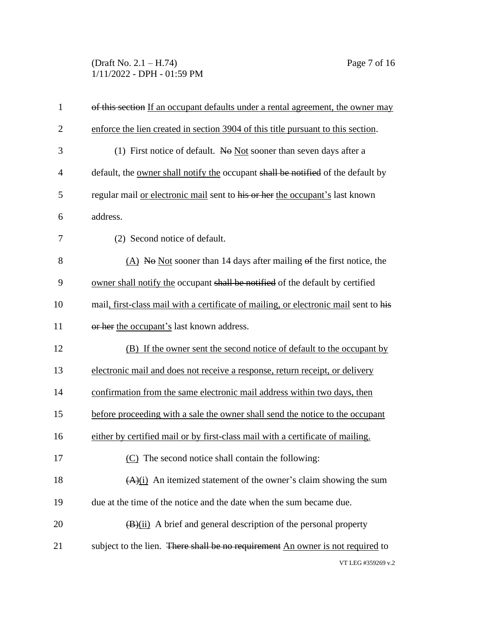(Draft No. 2.1 – H.74) Page 7 of 16 1/11/2022 - DPH - 01:59 PM

| $\mathbf{1}$   | of this section If an occupant defaults under a rental agreement, the owner may         |
|----------------|-----------------------------------------------------------------------------------------|
| $\overline{2}$ | enforce the lien created in section 3904 of this title pursuant to this section.        |
| 3              | (1) First notice of default. No Not sooner than seven days after a                      |
| $\overline{4}$ | default, the <u>owner shall notify the</u> occupant shall be notified of the default by |
| 5              | regular mail or electronic mail sent to his or her the occupant's last known            |
| 6              | address.                                                                                |
| 7              | (2) Second notice of default.                                                           |
| 8              | (A) No Not sooner than 14 days after mailing $\Theta$ find the first notice, the        |
| 9              | owner shall notify the occupant shall be notified of the default by certified           |
| 10             | mail, first-class mail with a certificate of mailing, or electronic mail sent to his    |
| 11             | or her the occupant's last known address.                                               |
| 12             | (B) If the owner sent the second notice of default to the occupant by                   |
| 13             | electronic mail and does not receive a response, return receipt, or delivery            |
| 14             | confirmation from the same electronic mail address within two days, then                |
| 15             | before proceeding with a sale the owner shall send the notice to the occupant           |
| 16             | either by certified mail or by first-class mail with a certificate of mailing.          |
| 17             | (C) The second notice shall contain the following:                                      |
| 18             | $(A)(i)$ An itemized statement of the owner's claim showing the sum                     |
| 19             | due at the time of the notice and the date when the sum became due.                     |
| 20             | $\frac{1}{2}$ (B)(ii) A brief and general description of the personal property          |
| 21             | subject to the lien. There shall be no requirement An owner is not required to          |
|                | VT LEG #359269 v.2                                                                      |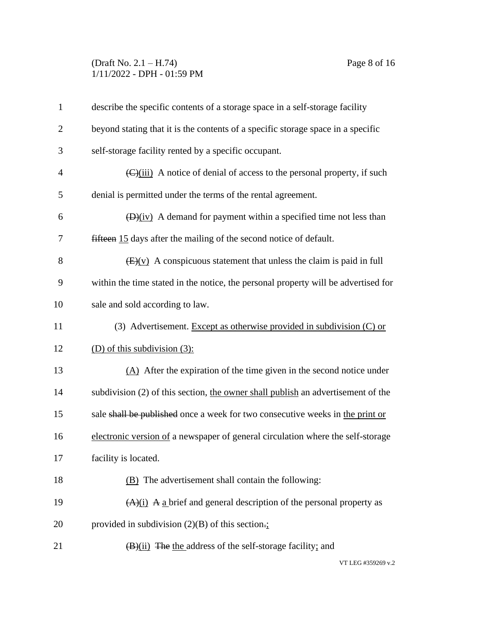#### (Draft No. 2.1 – H.74) Page 8 of 16 1/11/2022 - DPH - 01:59 PM

| $\mathbf{1}$   | describe the specific contents of a storage space in a self-storage facility                      |
|----------------|---------------------------------------------------------------------------------------------------|
| $\overline{2}$ | beyond stating that it is the contents of a specific storage space in a specific                  |
| 3              | self-storage facility rented by a specific occupant.                                              |
| $\overline{4}$ | $\left(\frac{C}{\text{ii}}\right)$ A notice of denial of access to the personal property, if such |
| 5              | denial is permitted under the terms of the rental agreement.                                      |
| 6              | $(D)(iv)$ A demand for payment within a specified time not less than                              |
| 7              | fifteen 15 days after the mailing of the second notice of default.                                |
| 8              | $\frac{1}{2}$ (v) A conspicuous statement that unless the claim is paid in full                   |
| 9              | within the time stated in the notice, the personal property will be advertised for                |
| 10             | sale and sold according to law.                                                                   |
| 11             | (3) Advertisement. Except as otherwise provided in subdivision (C) or                             |
| 12             | (D) of this subdivision $(3)$ :                                                                   |
| 13             | $(A)$ After the expiration of the time given in the second notice under                           |
| 14             | subdivision (2) of this section, the owner shall publish an advertisement of the                  |
| 15             | sale shall be published once a week for two consecutive weeks in the print or                     |
| 16             | electronic version of a newspaper of general circulation where the self-storage                   |
| 17             | facility is located.                                                                              |
| 18             | (B) The advertisement shall contain the following:                                                |
| 19             | $(A)(i)$ A a brief and general description of the personal property as                            |
| 20             | provided in subdivision $(2)(B)$ of this section.                                                 |
| 21             | $(B)(ii)$ The the address of the self-storage facility; and                                       |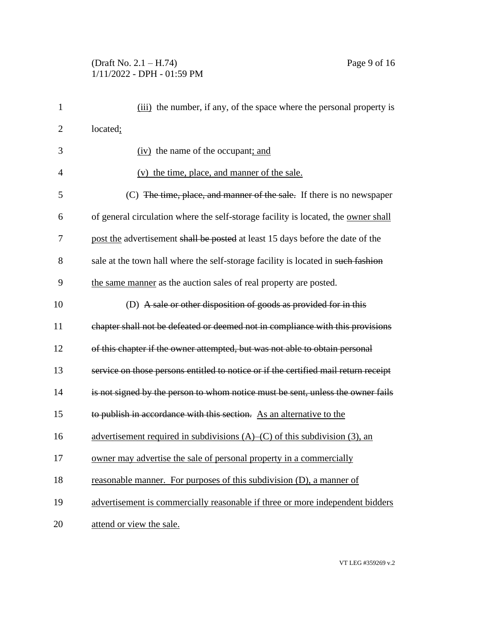### (Draft No. 2.1 – H.74) Page 9 of 16 1/11/2022 - DPH - 01:59 PM

| $\mathbf{1}$   | (iii) the number, if any, of the space where the personal property is               |
|----------------|-------------------------------------------------------------------------------------|
| $\overline{2}$ | located;                                                                            |
| 3              | (iv) the name of the occupant; and                                                  |
| $\overline{4}$ | (v) the time, place, and manner of the sale.                                        |
| 5              | (C) The time, place, and manner of the sale. If there is no newspaper               |
| 6              | of general circulation where the self-storage facility is located, the owner shall  |
| 7              | post the advertisement shall be posted at least 15 days before the date of the      |
| 8              | sale at the town hall where the self-storage facility is located in such fashion    |
| 9              | the same manner as the auction sales of real property are posted.                   |
| 10             | (D) A sale or other disposition of goods as provided for in this                    |
| 11             | chapter shall not be defeated or deemed not in compliance with this provisions      |
| 12             | of this chapter if the owner attempted, but was not able to obtain personal         |
| 13             | service on those persons entitled to notice or if the certified mail return receipt |
| 14             | is not signed by the person to whom notice must be sent, unless the owner fails     |
| 15             | to publish in accordance with this section. As an alternative to the                |
| 16             | advertisement required in subdivisions $(A)$ – $(C)$ of this subdivision (3), an    |
| 17             | owner may advertise the sale of personal property in a commercially                 |
| 18             | reasonable manner. For purposes of this subdivision (D), a manner of                |
| 19             | advertisement is commercially reasonable if three or more independent bidders       |
| 20             | attend or view the sale.                                                            |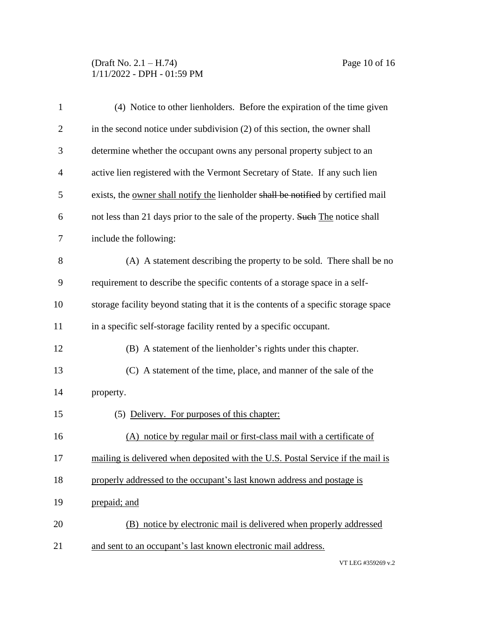# (Draft No. 2.1 – H.74) Page 10 of 16 1/11/2022 - DPH - 01:59 PM

| $\mathbf{1}$   | (4) Notice to other lienholders. Before the expiration of the time given            |
|----------------|-------------------------------------------------------------------------------------|
| $\overline{2}$ | in the second notice under subdivision (2) of this section, the owner shall         |
| 3              | determine whether the occupant owns any personal property subject to an             |
| $\overline{4}$ | active lien registered with the Vermont Secretary of State. If any such lien        |
| 5              | exists, the owner shall notify the lienholder shall be notified by certified mail   |
| 6              | not less than 21 days prior to the sale of the property. Such The notice shall      |
| $\overline{7}$ | include the following:                                                              |
| 8              | (A) A statement describing the property to be sold. There shall be no               |
| 9              | requirement to describe the specific contents of a storage space in a self-         |
| 10             | storage facility beyond stating that it is the contents of a specific storage space |
| 11             | in a specific self-storage facility rented by a specific occupant.                  |
| 12             | (B) A statement of the lienholder's rights under this chapter.                      |
| 13             | (C) A statement of the time, place, and manner of the sale of the                   |
| 14             | property.                                                                           |
| 15             | (5) Delivery. For purposes of this chapter:                                         |
| 16             | (A) notice by regular mail or first-class mail with a certificate of                |
| 17             | mailing is delivered when deposited with the U.S. Postal Service if the mail is     |
| 18             | properly addressed to the occupant's last known address and postage is              |
| 19             | prepaid; and                                                                        |
| 20             | (B) notice by electronic mail is delivered when properly addressed                  |
| 21             | and sent to an occupant's last known electronic mail address.                       |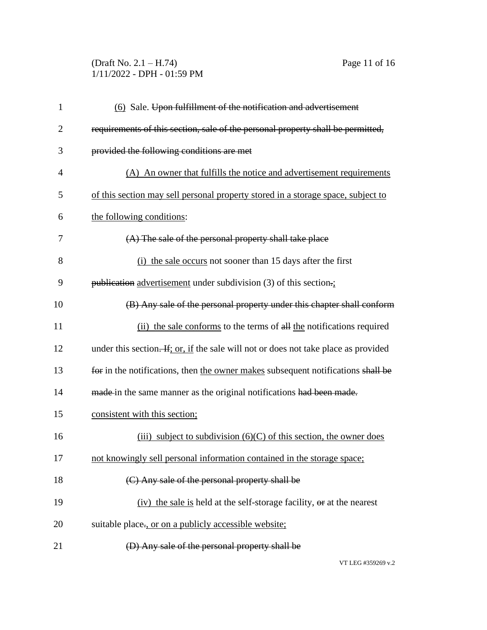### (Draft No. 2.1 – H.74) Page 11 of 16 1/11/2022 - DPH - 01:59 PM

| $\mathbf{1}$   | (6) Sale. Upon fulfillment of the notification and advertisement                    |
|----------------|-------------------------------------------------------------------------------------|
| $\overline{2}$ | requirements of this section, sale of the personal property shall be permitted,     |
| 3              | provided the following conditions are met                                           |
| $\overline{4}$ | (A) An owner that fulfills the notice and advertisement requirements                |
| 5              | of this section may sell personal property stored in a storage space, subject to    |
| 6              | the following conditions:                                                           |
| 7              | (A) The sale of the personal property shall take place                              |
| 8              | (i) the sale occurs not sooner than 15 days after the first                         |
| 9              | publication advertisement under subdivision $(3)$ of this section.                  |
| 10             | (B) Any sale of the personal property under this chapter shall conform              |
| 11             | (ii) the sale conforms to the terms of all the notifications required               |
| 12             | under this section. If; or, if the sale will not or does not take place as provided |
| 13             | for in the notifications, then the owner makes subsequent notifications shall be    |
| 14             | made in the same manner as the original notifications had been made.                |
| 15             | consistent with this section;                                                       |
| 16             | (iii) subject to subdivision $(6)(C)$ of this section, the owner does               |
| 17             | not knowingly sell personal information contained in the storage space;             |
| 18             | (C) Any sale of the personal property shall be                                      |
| 19             | (iv) the sale is held at the self-storage facility, or at the nearest               |
| 20             | suitable place-, or on a publicly accessible website;                               |
| 21             | (D) Any sale of the personal property shall be                                      |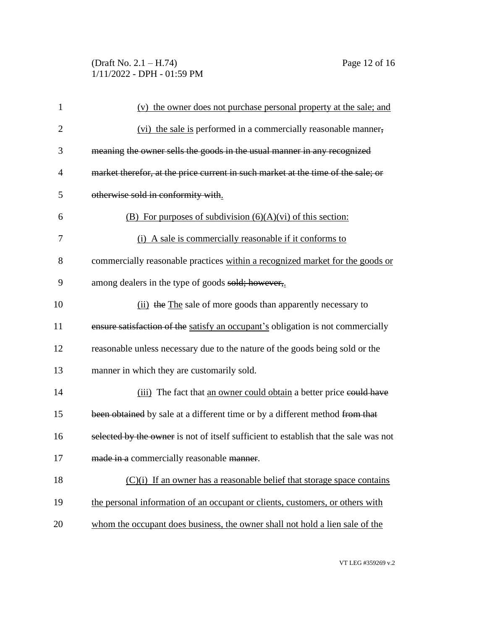# (Draft No. 2.1 – H.74) Page 12 of 16 1/11/2022 - DPH - 01:59 PM

| $\mathbf{1}$   | (v) the owner does not purchase personal property at the sale; and                   |
|----------------|--------------------------------------------------------------------------------------|
| $\overline{c}$ | (vi) the sale is performed in a commercially reasonable manner,                      |
| 3              | meaning the owner sells the goods in the usual manner in any recognized              |
| 4              | market therefor, at the price current in such market at the time of the sale; or     |
| 5              | otherwise sold in conformity with.                                                   |
| 6              | (B) For purposes of subdivision $(6)(A)(vi)$ of this section:                        |
| 7              | (i) A sale is commercially reasonable if it conforms to                              |
| 8              | commercially reasonable practices within a recognized market for the goods or        |
| 9              | among dealers in the type of goods sold; however,                                    |
| 10             | (ii) the The sale of more goods than apparently necessary to                         |
| 11             | ensure satisfaction of the satisfy an occupant's obligation is not commercially      |
| 12             | reasonable unless necessary due to the nature of the goods being sold or the         |
| 13             | manner in which they are customarily sold.                                           |
| 14             | (iii) The fact that an owner could obtain a better price eould have                  |
| 15             | been obtained by sale at a different time or by a different method from that         |
| 16             | selected by the owner is not of itself sufficient to establish that the sale was not |
| 17             | made in a commercially reasonable manner.                                            |
| 18             | $(C)(i)$ If an owner has a reasonable belief that storage space contains             |
| 19             | the personal information of an occupant or clients, customers, or others with        |
| 20             | whom the occupant does business, the owner shall not hold a lien sale of the         |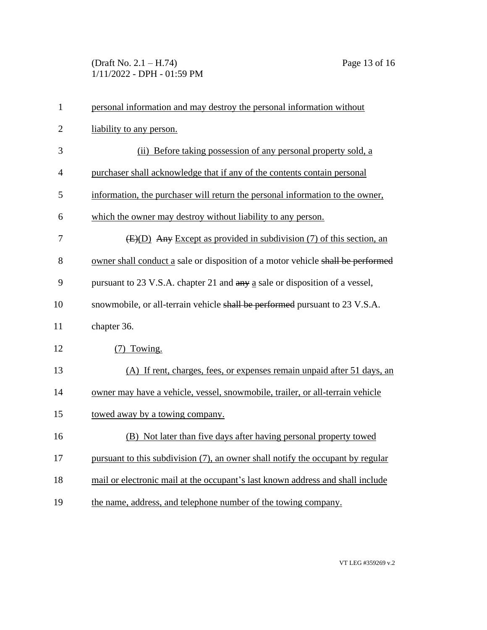# (Draft No. 2.1 – H.74) Page 13 of 16 1/11/2022 - DPH - 01:59 PM

| $\mathbf{1}$   | personal information and may destroy the personal information without           |  |  |
|----------------|---------------------------------------------------------------------------------|--|--|
| $\overline{2}$ | liability to any person.                                                        |  |  |
| 3              | (ii) Before taking possession of any personal property sold, a                  |  |  |
| $\overline{4}$ | purchaser shall acknowledge that if any of the contents contain personal        |  |  |
| 5              | information, the purchaser will return the personal information to the owner,   |  |  |
| 6              | which the owner may destroy without liability to any person.                    |  |  |
| 7              | $(E)(D)$ Any Except as provided in subdivision (7) of this section, an          |  |  |
| 8              | owner shall conduct a sale or disposition of a motor vehicle shall be performed |  |  |
| 9              | pursuant to 23 V.S.A. chapter 21 and any a sale or disposition of a vessel,     |  |  |
| 10             | snowmobile, or all-terrain vehicle shall be performed pursuant to 23 V.S.A.     |  |  |
| 11             | chapter 36.                                                                     |  |  |
| 12             | (7) Towing.                                                                     |  |  |
| 13             | (A) If rent, charges, fees, or expenses remain unpaid after 51 days, an         |  |  |
| 14             | owner may have a vehicle, vessel, snowmobile, trailer, or all-terrain vehicle   |  |  |
| 15             | towed away by a towing company.                                                 |  |  |
| 16             | (B) Not later than five days after having personal property towed               |  |  |
| 17             | pursuant to this subdivision (7), an owner shall notify the occupant by regular |  |  |
| 18             | mail or electronic mail at the occupant's last known address and shall include  |  |  |
| 19             | the name, address, and telephone number of the towing company.                  |  |  |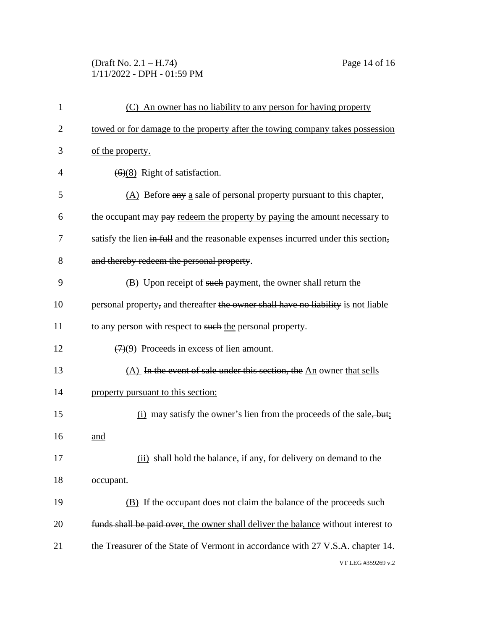### (Draft No. 2.1 – H.74) Page 14 of 16 1/11/2022 - DPH - 01:59 PM

| 1              | (C) An owner has no liability to any person for having property                   |  |
|----------------|-----------------------------------------------------------------------------------|--|
| $\overline{2}$ | towed or for damage to the property after the towing company takes possession     |  |
| 3              | of the property.                                                                  |  |
| 4              | $\left(\frac{6}{8}\right)$ Right of satisfaction.                                 |  |
| 5              | $(A)$ Before any a sale of personal property pursuant to this chapter,            |  |
| 6              | the occupant may pay redeem the property by paying the amount necessary to        |  |
| 7              | satisfy the lien in full and the reasonable expenses incurred under this section, |  |
| 8              | and thereby redeem the personal property.                                         |  |
| 9              | (B) Upon receipt of such payment, the owner shall return the                      |  |
| 10             | personal property, and thereafter the owner shall have no liability is not liable |  |
| 11             | to any person with respect to such the personal property.                         |  |
| 12             | $\left(\frac{7}{2}\right)$ Proceeds in excess of lien amount.                     |  |
| 13             | (A) In the event of sale under this section, the An owner that sells              |  |
| 14             | property pursuant to this section:                                                |  |
| 15             | $(i)$ may satisfy the owner's lien from the proceeds of the sale, but:            |  |
| 16             | and                                                                               |  |
| 17             | (ii) shall hold the balance, if any, for delivery on demand to the                |  |
| 18             | occupant.                                                                         |  |
| 19             | (B) If the occupant does not claim the balance of the proceeds such               |  |
| 20             | funds shall be paid over, the owner shall deliver the balance without interest to |  |
| 21             | the Treasurer of the State of Vermont in accordance with 27 V.S.A. chapter 14.    |  |
|                | VT LEG #359269 v.2                                                                |  |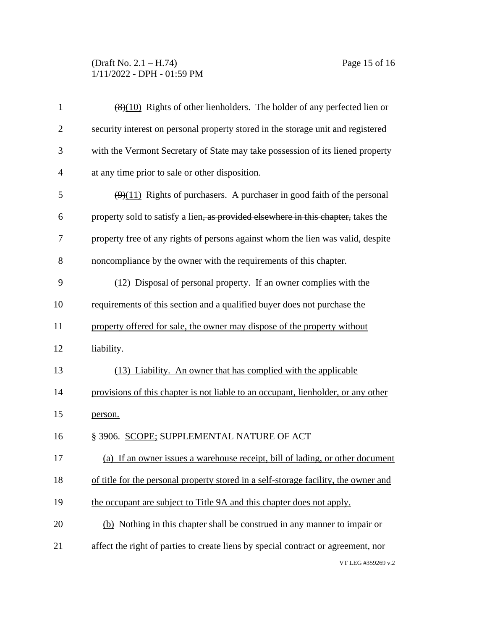## (Draft No. 2.1 – H.74) Page 15 of 16 1/11/2022 - DPH - 01:59 PM

| $\mathbf{1}$   | $\left(\frac{8}{10}\right)$ Rights of other lienholders. The holder of any perfected lien or |  |  |
|----------------|----------------------------------------------------------------------------------------------|--|--|
| $\overline{2}$ | security interest on personal property stored in the storage unit and registered             |  |  |
| 3              | with the Vermont Secretary of State may take possession of its liened property               |  |  |
| $\overline{4}$ | at any time prior to sale or other disposition.                                              |  |  |
| 5              | $\left(\frac{9}{11}\right)$ Rights of purchasers. A purchaser in good faith of the personal  |  |  |
| 6              | property sold to satisfy a lien, as provided elsewhere in this chapter, takes the            |  |  |
| 7              | property free of any rights of persons against whom the lien was valid, despite              |  |  |
| 8              | noncompliance by the owner with the requirements of this chapter.                            |  |  |
| 9              | (12) Disposal of personal property. If an owner complies with the                            |  |  |
| 10             | requirements of this section and a qualified buyer does not purchase the                     |  |  |
| 11             | property offered for sale, the owner may dispose of the property without                     |  |  |
| 12             | liability.                                                                                   |  |  |
| 13             | (13) Liability. An owner that has complied with the applicable                               |  |  |
| 14             | provisions of this chapter is not liable to an occupant, lienholder, or any other            |  |  |
| 15             | person.                                                                                      |  |  |
| 16             | § 3906. SCOPE; SUPPLEMENTAL NATURE OF ACT                                                    |  |  |
| 17             | (a) If an owner issues a warehouse receipt, bill of lading, or other document                |  |  |
| 18             | of title for the personal property stored in a self-storage facility, the owner and          |  |  |
| 19             | the occupant are subject to Title 9A and this chapter does not apply.                        |  |  |
| 20             | (b) Nothing in this chapter shall be construed in any manner to impair or                    |  |  |
| 21             | affect the right of parties to create liens by special contract or agreement, nor            |  |  |
|                | VT LEG #359269 v.2                                                                           |  |  |